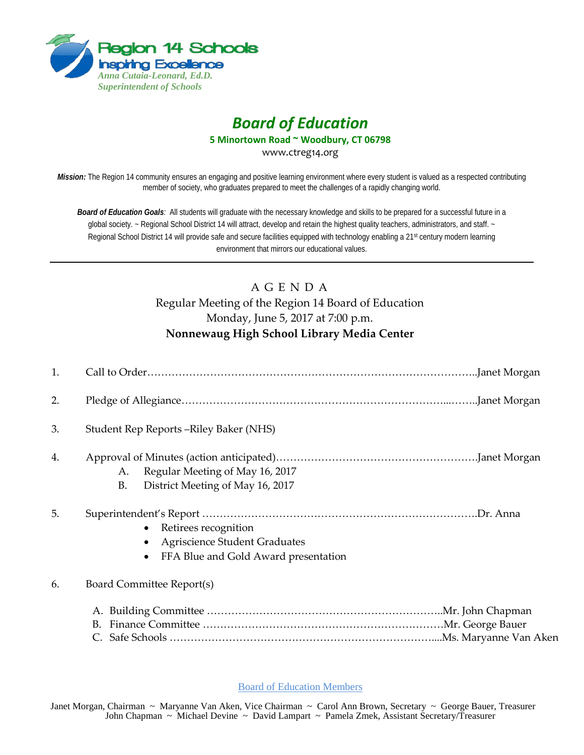

# *Board of Education*

**5 Minortown Road ~ Woodbury, CT 06798**

www.ctreg14.org

*Mission:* The Region 14 community ensures an engaging and positive learning environment where every student is valued as a respected contributing member of society, who graduates prepared to meet the challenges of a rapidly changing world.

*Board of Education Goals:* All students will graduate with the necessary knowledge and skills to be prepared for a successful future in a global society. ~ Regional School District 14 will attract, develop and retain the highest quality teachers, administrators, and staff. ~ Regional School District 14 will provide safe and secure facilities equipped with technology enabling a 21<sup>st</sup> century modern learning environment that mirrors our educational values.

# A G E N D A Regular Meeting of the Region 14 Board of Education Monday, June 5, 2017 at 7:00 p.m. **Nonnewaug High School Library Media Center**

| 1. |                                                                                                      |  |
|----|------------------------------------------------------------------------------------------------------|--|
| 2. |                                                                                                      |  |
| 3. | Student Rep Reports – Riley Baker (NHS)                                                              |  |
| 4. | Regular Meeting of May 16, 2017<br>А.<br>District Meeting of May 16, 2017<br><b>B.</b>               |  |
| 5. | Retirees recognition<br><b>Agriscience Student Graduates</b><br>FFA Blue and Gold Award presentation |  |
| 6. | Board Committee Report(s)                                                                            |  |
|    |                                                                                                      |  |
|    |                                                                                                      |  |
|    |                                                                                                      |  |

Board of Education Members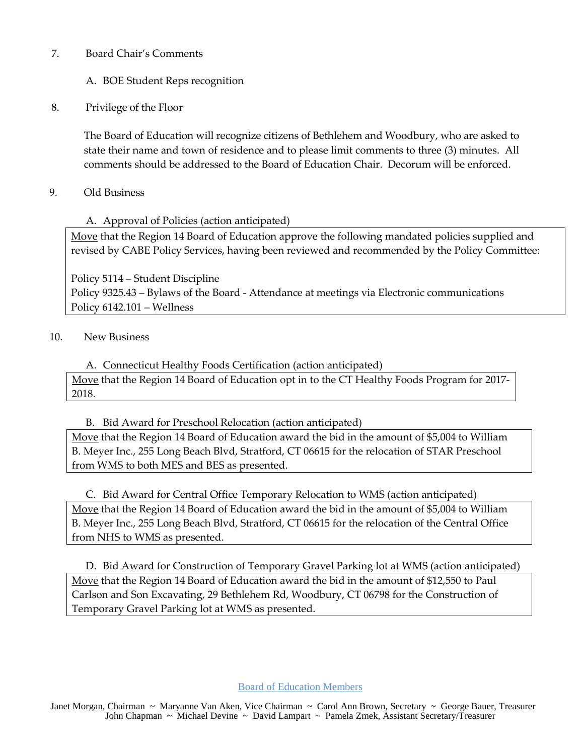#### 7. Board Chair's Comments

# A. BOE Student Reps recognition

#### 8. Privilege of the Floor

The Board of Education will recognize citizens of Bethlehem and Woodbury, who are asked to state their name and town of residence and to please limit comments to three (3) minutes. All comments should be addressed to the Board of Education Chair. Decorum will be enforced.

#### 9. Old Business

# A. Approval of Policies (action anticipated)

Move that the Region 14 Board of Education approve the following mandated policies supplied and revised by CABE Policy Services, having been reviewed and recommended by the Policy Committee:

Policy 5114 – Student Discipline Policy 9325.43 – Bylaws of the Board - Attendance at meetings via Electronic communications Policy 6142.101 – Wellness

#### 10. New Business

A. Connecticut Healthy Foods Certification (action anticipated) Move that the Region 14 Board of Education opt in to the CT Healthy Foods Program for 2017- 2018.

# B. Bid Award for Preschool Relocation (action anticipated)

Move that the Region 14 Board of Education award the bid in the amount of \$5,004 to William B. Meyer Inc., 255 Long Beach Blvd, Stratford, CT 06615 for the relocation of STAR Preschool from WMS to both MES and BES as presented.

# C. Bid Award for Central Office Temporary Relocation to WMS (action anticipated)

Move that the Region 14 Board of Education award the bid in the amount of \$5,004 to William B. Meyer Inc., 255 Long Beach Blvd, Stratford, CT 06615 for the relocation of the Central Office from NHS to WMS as presented.

D. Bid Award for Construction of Temporary Gravel Parking lot at WMS (action anticipated) Move that the Region 14 Board of Education award the bid in the amount of \$12,550 to Paul Carlson and Son Excavating, 29 Bethlehem Rd, Woodbury, CT 06798 for the Construction of Temporary Gravel Parking lot at WMS as presented.

Board of Education Members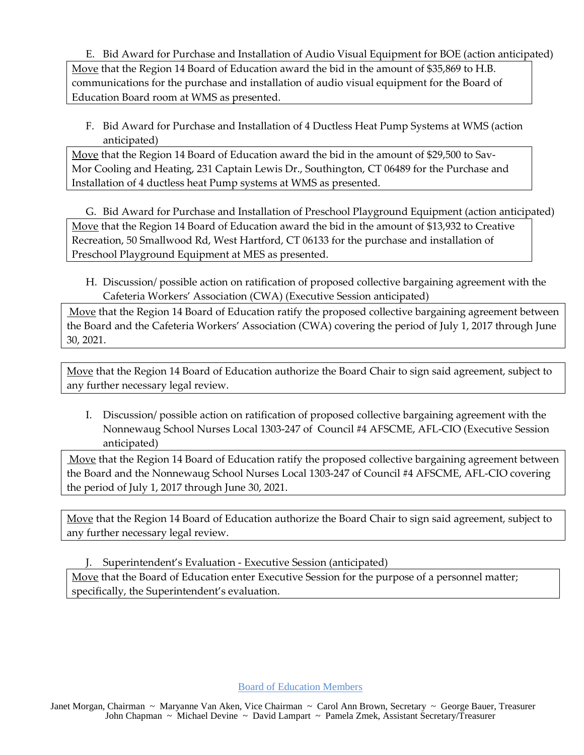E. Bid Award for Purchase and Installation of Audio Visual Equipment for BOE (action anticipated) Move that the Region 14 Board of Education award the bid in the amount of \$35,869 to H.B. communications for the purchase and installation of audio visual equipment for the Board of Education Board room at WMS as presented.

F. Bid Award for Purchase and Installation of 4 Ductless Heat Pump Systems at WMS (action anticipated)

Move that the Region 14 Board of Education award the bid in the amount of \$29,500 to Sav-Mor Cooling and Heating, 231 Captain Lewis Dr., Southington, CT 06489 for the Purchase and Installation of 4 ductless heat Pump systems at WMS as presented.

G. Bid Award for Purchase and Installation of Preschool Playground Equipment (action anticipated) Move that the Region 14 Board of Education award the bid in the amount of \$13,932 to Creative Recreation, 50 Smallwood Rd, West Hartford, CT 06133 for the purchase and installation of Preschool Playground Equipment at MES as presented.

H. Discussion/ possible action on ratification of proposed collective bargaining agreement with the Cafeteria Workers' Association (CWA) (Executive Session anticipated)

Move that the Region 14 Board of Education ratify the proposed collective bargaining agreement between the Board and the Cafeteria Workers' Association (CWA) covering the period of July 1, 2017 through June 30, 2021.

Move that the Region 14 Board of Education authorize the Board Chair to sign said agreement, subject to any further necessary legal review.

I. Discussion/ possible action on ratification of proposed collective bargaining agreement with the Nonnewaug School Nurses Local 1303-247 of Council #4 AFSCME, AFL-CIO (Executive Session anticipated)

Move that the Region 14 Board of Education ratify the proposed collective bargaining agreement between the Board and the Nonnewaug School Nurses Local 1303-247 of Council #4 AFSCME, AFL-CIO covering the period of July 1, 2017 through June 30, 2021.

Move that the Region 14 Board of Education authorize the Board Chair to sign said agreement, subject to any further necessary legal review.

J. Superintendent's Evaluation - Executive Session (anticipated)

Move that the Board of Education enter Executive Session for the purpose of a personnel matter; specifically, the Superintendent's evaluation.